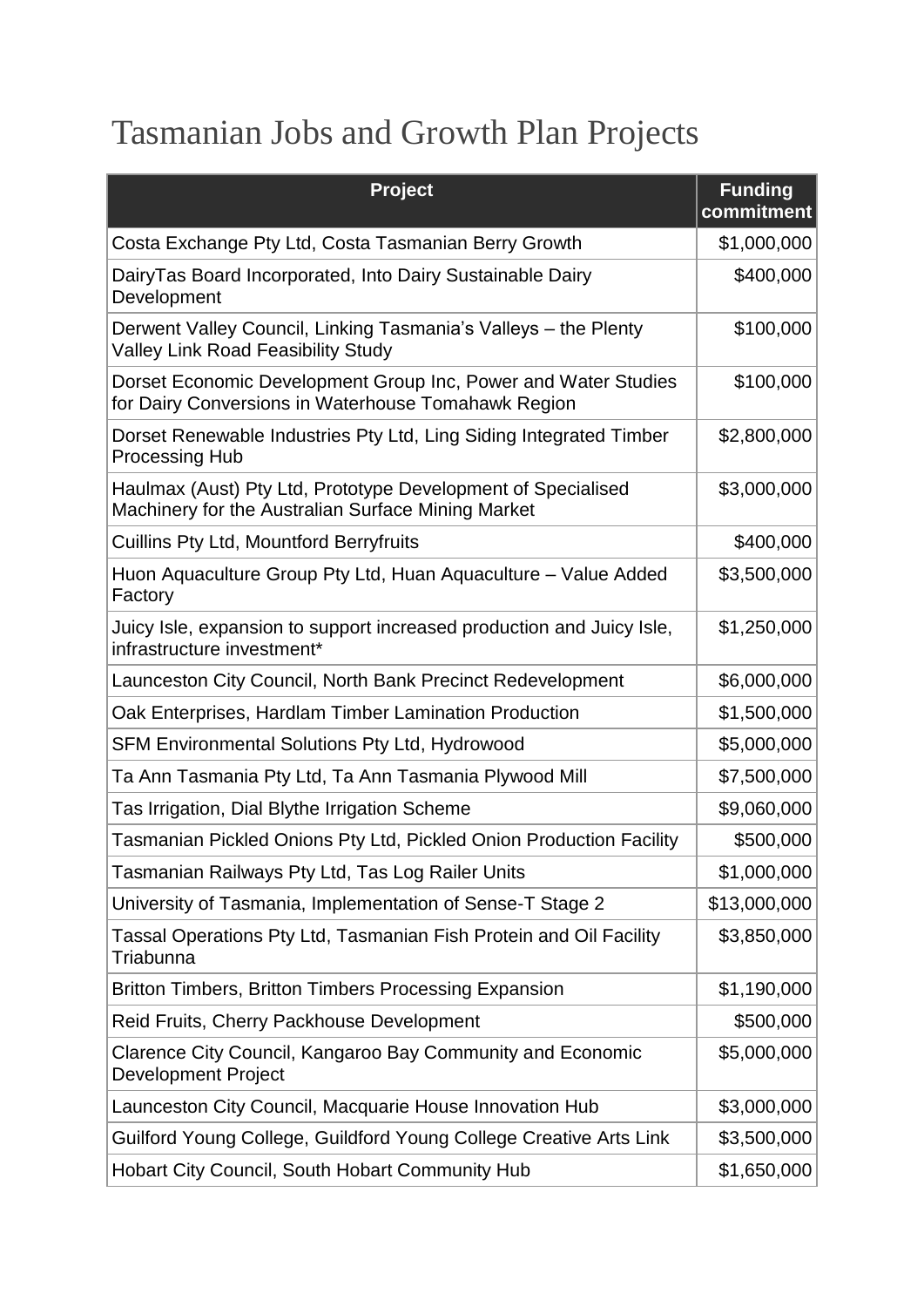## Tasmanian Jobs and Growth Plan Projects

| <b>Project</b>                                                                                                        | <b>Funding</b><br>commitment |
|-----------------------------------------------------------------------------------------------------------------------|------------------------------|
| Costa Exchange Pty Ltd, Costa Tasmanian Berry Growth                                                                  | \$1,000,000                  |
| DairyTas Board Incorporated, Into Dairy Sustainable Dairy<br>Development                                              | \$400,000                    |
| Derwent Valley Council, Linking Tasmania's Valleys – the Plenty<br><b>Valley Link Road Feasibility Study</b>          | \$100,000                    |
| Dorset Economic Development Group Inc, Power and Water Studies<br>for Dairy Conversions in Waterhouse Tomahawk Region | \$100,000                    |
| Dorset Renewable Industries Pty Ltd, Ling Siding Integrated Timber<br><b>Processing Hub</b>                           | \$2,800,000                  |
| Haulmax (Aust) Pty Ltd, Prototype Development of Specialised<br>Machinery for the Australian Surface Mining Market    | \$3,000,000                  |
| <b>Cuillins Pty Ltd, Mountford Berryfruits</b>                                                                        | \$400,000                    |
| Huon Aquaculture Group Pty Ltd, Huan Aquaculture - Value Added<br>Factory                                             | \$3,500,000                  |
| Juicy Isle, expansion to support increased production and Juicy Isle,<br>infrastructure investment*                   | \$1,250,000                  |
| Launceston City Council, North Bank Precinct Redevelopment                                                            | \$6,000,000                  |
| Oak Enterprises, Hardlam Timber Lamination Production                                                                 | \$1,500,000                  |
| <b>SFM Environmental Solutions Pty Ltd, Hydrowood</b>                                                                 | \$5,000,000                  |
| Ta Ann Tasmania Pty Ltd, Ta Ann Tasmania Plywood Mill                                                                 | \$7,500,000                  |
| Tas Irrigation, Dial Blythe Irrigation Scheme                                                                         | \$9,060,000                  |
| Tasmanian Pickled Onions Pty Ltd, Pickled Onion Production Facility                                                   | \$500,000                    |
| Tasmanian Railways Pty Ltd, Tas Log Railer Units                                                                      | \$1,000,000                  |
| University of Tasmania, Implementation of Sense-T Stage 2                                                             | \$13,000,000                 |
| Tassal Operations Pty Ltd, Tasmanian Fish Protein and Oil Facility<br>Triabunna                                       | \$3,850,000                  |
| <b>Britton Timbers, Britton Timbers Processing Expansion</b>                                                          | \$1,190,000                  |
| Reid Fruits, Cherry Packhouse Development                                                                             | \$500,000                    |
| Clarence City Council, Kangaroo Bay Community and Economic<br><b>Development Project</b>                              | \$5,000,000                  |
| Launceston City Council, Macquarie House Innovation Hub                                                               | \$3,000,000                  |
| Guilford Young College, Guildford Young College Creative Arts Link                                                    | \$3,500,000                  |
| Hobart City Council, South Hobart Community Hub                                                                       | \$1,650,000                  |